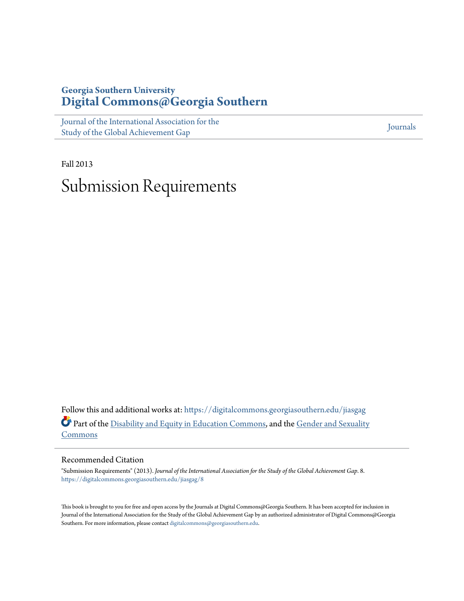## **Georgia Southern University [Digital Commons@Georgia Southern](https://digitalcommons.georgiasouthern.edu?utm_source=digitalcommons.georgiasouthern.edu%2Fjiasgag%2F8&utm_medium=PDF&utm_campaign=PDFCoverPages)**

[Journal of the International Association for the](https://digitalcommons.georgiasouthern.edu/jiasgag?utm_source=digitalcommons.georgiasouthern.edu%2Fjiasgag%2F8&utm_medium=PDF&utm_campaign=PDFCoverPages) [Study of the Global Achievement Gap](https://digitalcommons.georgiasouthern.edu/jiasgag?utm_source=digitalcommons.georgiasouthern.edu%2Fjiasgag%2F8&utm_medium=PDF&utm_campaign=PDFCoverPages)

[Journals](https://digitalcommons.georgiasouthern.edu/journals?utm_source=digitalcommons.georgiasouthern.edu%2Fjiasgag%2F8&utm_medium=PDF&utm_campaign=PDFCoverPages)

Fall 2013 Submission Requirements

Follow this and additional works at: [https://digitalcommons.georgiasouthern.edu/jiasgag](https://digitalcommons.georgiasouthern.edu/jiasgag?utm_source=digitalcommons.georgiasouthern.edu%2Fjiasgag%2F8&utm_medium=PDF&utm_campaign=PDFCoverPages) Part of the [Disability and Equity in Education Commons,](http://network.bepress.com/hgg/discipline/1040?utm_source=digitalcommons.georgiasouthern.edu%2Fjiasgag%2F8&utm_medium=PDF&utm_campaign=PDFCoverPages) and the [Gender and Sexuality](http://network.bepress.com/hgg/discipline/420?utm_source=digitalcommons.georgiasouthern.edu%2Fjiasgag%2F8&utm_medium=PDF&utm_campaign=PDFCoverPages) [Commons](http://network.bepress.com/hgg/discipline/420?utm_source=digitalcommons.georgiasouthern.edu%2Fjiasgag%2F8&utm_medium=PDF&utm_campaign=PDFCoverPages)

## Recommended Citation

"Submission Requirements" (2013). *Journal of the International Association for the Study of the Global Achievement Gap*. 8. [https://digitalcommons.georgiasouthern.edu/jiasgag/8](https://digitalcommons.georgiasouthern.edu/jiasgag/8?utm_source=digitalcommons.georgiasouthern.edu%2Fjiasgag%2F8&utm_medium=PDF&utm_campaign=PDFCoverPages)

This book is brought to you for free and open access by the Journals at Digital Commons@Georgia Southern. It has been accepted for inclusion in Journal of the International Association for the Study of the Global Achievement Gap by an authorized administrator of Digital Commons@Georgia Southern. For more information, please contact [digitalcommons@georgiasouthern.edu.](mailto:digitalcommons@georgiasouthern.edu)